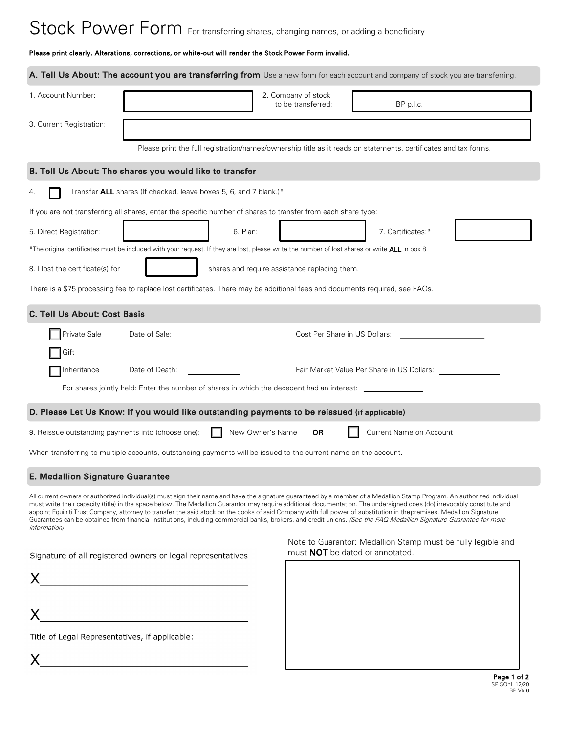# Stock Power Form For transferring shares, changing names, or adding a beneficiary

#### Please print clearly. Alterations, corrections, or white-out will render the Stock Power Form invalid.

|                                                    | A. Tell Us About: The account you are transferring from Use a new form for each account and company of stock you are transferring.                                                                                                                                                                                                                                                                                                                                                                                                                                                                                                                                                                   |                                               |                                                                                                                 |             |
|----------------------------------------------------|------------------------------------------------------------------------------------------------------------------------------------------------------------------------------------------------------------------------------------------------------------------------------------------------------------------------------------------------------------------------------------------------------------------------------------------------------------------------------------------------------------------------------------------------------------------------------------------------------------------------------------------------------------------------------------------------------|-----------------------------------------------|-----------------------------------------------------------------------------------------------------------------|-------------|
| 1. Account Number:                                 |                                                                                                                                                                                                                                                                                                                                                                                                                                                                                                                                                                                                                                                                                                      | 2. Company of stock<br>to be transferred:     | BP p.l.c.                                                                                                       |             |
| 3. Current Registration:                           |                                                                                                                                                                                                                                                                                                                                                                                                                                                                                                                                                                                                                                                                                                      |                                               |                                                                                                                 |             |
|                                                    |                                                                                                                                                                                                                                                                                                                                                                                                                                                                                                                                                                                                                                                                                                      |                                               | Please print the full registration/names/ownership title as it reads on statements, certificates and tax forms. |             |
|                                                    | B. Tell Us About: The shares you would like to transfer                                                                                                                                                                                                                                                                                                                                                                                                                                                                                                                                                                                                                                              |                                               |                                                                                                                 |             |
| 4.                                                 | Transfer ALL shares (If checked, leave boxes 5, 6, and 7 blank.)*                                                                                                                                                                                                                                                                                                                                                                                                                                                                                                                                                                                                                                    |                                               |                                                                                                                 |             |
|                                                    | If you are not transferring all shares, enter the specific number of shares to transfer from each share type:                                                                                                                                                                                                                                                                                                                                                                                                                                                                                                                                                                                        |                                               |                                                                                                                 |             |
| 5. Direct Registration:                            |                                                                                                                                                                                                                                                                                                                                                                                                                                                                                                                                                                                                                                                                                                      | 6. Plan:                                      | 7. Certificates:*                                                                                               |             |
|                                                    | *The original certificates must be included with your request. If they are lost, please write the number of lost shares or write ALL in box 8.                                                                                                                                                                                                                                                                                                                                                                                                                                                                                                                                                       |                                               |                                                                                                                 |             |
| 8. I lost the certificate(s) for                   |                                                                                                                                                                                                                                                                                                                                                                                                                                                                                                                                                                                                                                                                                                      | shares and require assistance replacing them. |                                                                                                                 |             |
|                                                    | There is a \$75 processing fee to replace lost certificates. There may be additional fees and documents required, see FAQs.                                                                                                                                                                                                                                                                                                                                                                                                                                                                                                                                                                          |                                               |                                                                                                                 |             |
| C. Tell Us About: Cost Basis                       |                                                                                                                                                                                                                                                                                                                                                                                                                                                                                                                                                                                                                                                                                                      |                                               |                                                                                                                 |             |
| Private Sale                                       | Date of Sale:                                                                                                                                                                                                                                                                                                                                                                                                                                                                                                                                                                                                                                                                                        | Cost Per Share in US Dollars:                 |                                                                                                                 |             |
| Gift                                               |                                                                                                                                                                                                                                                                                                                                                                                                                                                                                                                                                                                                                                                                                                      |                                               |                                                                                                                 |             |
| Inheritance                                        | Date of Death:                                                                                                                                                                                                                                                                                                                                                                                                                                                                                                                                                                                                                                                                                       |                                               | Fair Market Value Per Share in US Dollars:                                                                      |             |
|                                                    | For shares jointly held: Enter the number of shares in which the decedent had an interest:                                                                                                                                                                                                                                                                                                                                                                                                                                                                                                                                                                                                           |                                               |                                                                                                                 |             |
|                                                    | D. Please Let Us Know: If you would like outstanding payments to be reissued (if applicable)                                                                                                                                                                                                                                                                                                                                                                                                                                                                                                                                                                                                         |                                               |                                                                                                                 |             |
| 9. Reissue outstanding payments into (choose one): |                                                                                                                                                                                                                                                                                                                                                                                                                                                                                                                                                                                                                                                                                                      | New Owner's Name<br>OR                        | Current Name on Account                                                                                         |             |
|                                                    | When transferring to multiple accounts, outstanding payments will be issued to the current name on the account.                                                                                                                                                                                                                                                                                                                                                                                                                                                                                                                                                                                      |                                               |                                                                                                                 |             |
| <b>E. Medallion Signature Guarantee</b>            |                                                                                                                                                                                                                                                                                                                                                                                                                                                                                                                                                                                                                                                                                                      |                                               |                                                                                                                 |             |
| <i>information</i>                                 | All current owners or authorized individual(s) must sign their name and have the signature guaranteed by a member of a Medallion Stamp Program. An authorized individual<br>must write their capacity (title) in the space below. The Medallion Guarantor may require additional documentation. The undersigned does (do) irrevocably constitute and<br>appoint Equiniti Trust Company, attorney to transfer the said stock on the books of said Company with full power of substitution in the premises. Medallion Signature<br>Guarantees can be obtained from financial institutions, including commercial banks, brokers, and credit unions. (See the FAQ Medallion Signature Guarantee for more |                                               |                                                                                                                 |             |
|                                                    | Signature of all registered owners or legal representatives                                                                                                                                                                                                                                                                                                                                                                                                                                                                                                                                                                                                                                          |                                               | Note to Guarantor: Medallion Stamp must be fully legible and<br>must <b>NOT</b> be dated or annotated.          |             |
|                                                    |                                                                                                                                                                                                                                                                                                                                                                                                                                                                                                                                                                                                                                                                                                      |                                               |                                                                                                                 |             |
|                                                    |                                                                                                                                                                                                                                                                                                                                                                                                                                                                                                                                                                                                                                                                                                      |                                               |                                                                                                                 |             |
| Title of Legal Representatives, if applicable:     |                                                                                                                                                                                                                                                                                                                                                                                                                                                                                                                                                                                                                                                                                                      |                                               |                                                                                                                 |             |
|                                                    |                                                                                                                                                                                                                                                                                                                                                                                                                                                                                                                                                                                                                                                                                                      |                                               |                                                                                                                 |             |
|                                                    |                                                                                                                                                                                                                                                                                                                                                                                                                                                                                                                                                                                                                                                                                                      |                                               |                                                                                                                 | Page 1 of 2 |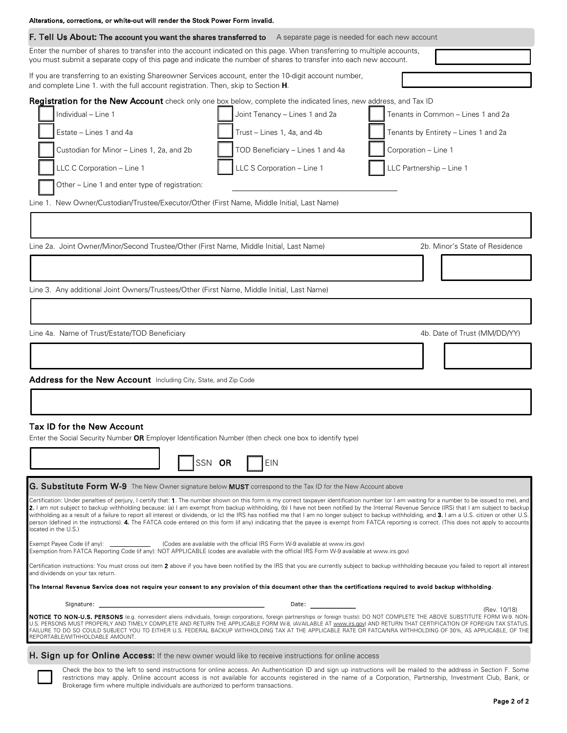| Alterations, corrections, or white-out will render the Stock Power Form invalid.                                                                                                                                                                                                                                                                                                                                                                                                                                                                                                                                                                                                                                                                                                                                             |  |  |  |  |  |  |
|------------------------------------------------------------------------------------------------------------------------------------------------------------------------------------------------------------------------------------------------------------------------------------------------------------------------------------------------------------------------------------------------------------------------------------------------------------------------------------------------------------------------------------------------------------------------------------------------------------------------------------------------------------------------------------------------------------------------------------------------------------------------------------------------------------------------------|--|--|--|--|--|--|
| F. Tell Us About: The account you want the shares transferred to<br>A separate page is needed for each new account                                                                                                                                                                                                                                                                                                                                                                                                                                                                                                                                                                                                                                                                                                           |  |  |  |  |  |  |
| Enter the number of shares to transfer into the account indicated on this page. When transferring to multiple accounts,<br>you must submit a separate copy of this page and indicate the number of shares to transfer into each new account.                                                                                                                                                                                                                                                                                                                                                                                                                                                                                                                                                                                 |  |  |  |  |  |  |
| If you are transferring to an existing Shareowner Services account, enter the 10-digit account number,<br>and complete Line 1. with the full account registration. Then, skip to Section H.                                                                                                                                                                                                                                                                                                                                                                                                                                                                                                                                                                                                                                  |  |  |  |  |  |  |
| Registration for the New Account check only one box below, complete the indicated lines, new address, and Tax ID                                                                                                                                                                                                                                                                                                                                                                                                                                                                                                                                                                                                                                                                                                             |  |  |  |  |  |  |
| Individual - Line 1<br>Joint Tenancy - Lines 1 and 2a<br>Tenants in Common - Lines 1 and 2a                                                                                                                                                                                                                                                                                                                                                                                                                                                                                                                                                                                                                                                                                                                                  |  |  |  |  |  |  |
| Estate - Lines 1 and 4a<br>Trust - Lines 1, 4a, and 4b<br>Tenants by Entirety - Lines 1 and 2a                                                                                                                                                                                                                                                                                                                                                                                                                                                                                                                                                                                                                                                                                                                               |  |  |  |  |  |  |
| Custodian for Minor - Lines 1, 2a, and 2b<br>TOD Beneficiary - Lines 1 and 4a<br>Corporation - Line 1                                                                                                                                                                                                                                                                                                                                                                                                                                                                                                                                                                                                                                                                                                                        |  |  |  |  |  |  |
| LLC S Corporation - Line 1<br>LLC Partnership - Line 1<br>LLC C Corporation - Line 1                                                                                                                                                                                                                                                                                                                                                                                                                                                                                                                                                                                                                                                                                                                                         |  |  |  |  |  |  |
| Other - Line 1 and enter type of registration:                                                                                                                                                                                                                                                                                                                                                                                                                                                                                                                                                                                                                                                                                                                                                                               |  |  |  |  |  |  |
| Line 1. New Owner/Custodian/Trustee/Executor/Other (First Name, Middle Initial, Last Name)                                                                                                                                                                                                                                                                                                                                                                                                                                                                                                                                                                                                                                                                                                                                   |  |  |  |  |  |  |
|                                                                                                                                                                                                                                                                                                                                                                                                                                                                                                                                                                                                                                                                                                                                                                                                                              |  |  |  |  |  |  |
| Line 2a. Joint Owner/Minor/Second Trustee/Other (First Name, Middle Initial, Last Name)<br>2b. Minor's State of Residence                                                                                                                                                                                                                                                                                                                                                                                                                                                                                                                                                                                                                                                                                                    |  |  |  |  |  |  |
|                                                                                                                                                                                                                                                                                                                                                                                                                                                                                                                                                                                                                                                                                                                                                                                                                              |  |  |  |  |  |  |
| Line 3. Any additional Joint Owners/Trustees/Other (First Name, Middle Initial, Last Name)                                                                                                                                                                                                                                                                                                                                                                                                                                                                                                                                                                                                                                                                                                                                   |  |  |  |  |  |  |
|                                                                                                                                                                                                                                                                                                                                                                                                                                                                                                                                                                                                                                                                                                                                                                                                                              |  |  |  |  |  |  |
|                                                                                                                                                                                                                                                                                                                                                                                                                                                                                                                                                                                                                                                                                                                                                                                                                              |  |  |  |  |  |  |
| Line 4a. Name of Trust/Estate/TOD Beneficiary<br>4b. Date of Trust (MM/DD/YY)                                                                                                                                                                                                                                                                                                                                                                                                                                                                                                                                                                                                                                                                                                                                                |  |  |  |  |  |  |
|                                                                                                                                                                                                                                                                                                                                                                                                                                                                                                                                                                                                                                                                                                                                                                                                                              |  |  |  |  |  |  |
| Address for the New Account Including City, State, and Zip Code                                                                                                                                                                                                                                                                                                                                                                                                                                                                                                                                                                                                                                                                                                                                                              |  |  |  |  |  |  |
|                                                                                                                                                                                                                                                                                                                                                                                                                                                                                                                                                                                                                                                                                                                                                                                                                              |  |  |  |  |  |  |
|                                                                                                                                                                                                                                                                                                                                                                                                                                                                                                                                                                                                                                                                                                                                                                                                                              |  |  |  |  |  |  |
| Tax ID for the New Account<br>Enter the Social Security Number OR Employer Identification Number (then check one box to identify type)                                                                                                                                                                                                                                                                                                                                                                                                                                                                                                                                                                                                                                                                                       |  |  |  |  |  |  |
|                                                                                                                                                                                                                                                                                                                                                                                                                                                                                                                                                                                                                                                                                                                                                                                                                              |  |  |  |  |  |  |
| SSN OR<br><b>EIN</b>                                                                                                                                                                                                                                                                                                                                                                                                                                                                                                                                                                                                                                                                                                                                                                                                         |  |  |  |  |  |  |
| G. Substitute Form W-9 The New Owner signature below MUST correspond to the Tax ID for the New Account above                                                                                                                                                                                                                                                                                                                                                                                                                                                                                                                                                                                                                                                                                                                 |  |  |  |  |  |  |
| Certification: Under penalties of perjury, I certify that: 1. The number shown on this form is my correct taxpayer identification number (or I am waiting for a number to be issued to me), and<br>2. I am not subject to backup withholding because: (a) I am exempt from backup withholding, (b) I have not been notified by the Internal Revenue Service (IRS) that I am subject to backup<br>withholding as a result of a failure to report all interest or dividends, or (c) the IRS has notified me that I am no longer subject to backup withholding, and 3. I am a U.S. citizen or other U.S.<br>person (defined in the instructions). 4. The FATCA code entered on this form (if any) indicating that the payee is exempt from FATCA reporting is correct. (This does not apply to accounts<br>located in the U.S.) |  |  |  |  |  |  |
| Exempt Payee Code (if any): ______________<br>(Codes are available with the official IRS Form W-9 available at www.irs.gov)<br>Exemption from FATCA Reporting Code (if any): NOT APPLICABLE (codes are available with the official IRS Form W-9 available at www.irs.gov)                                                                                                                                                                                                                                                                                                                                                                                                                                                                                                                                                    |  |  |  |  |  |  |
| Certification instructions: You must cross out item 2 above if you have been notified by the IRS that you are currently subject to backup withholding because you failed to report all interest<br>and dividends on your tax return.                                                                                                                                                                                                                                                                                                                                                                                                                                                                                                                                                                                         |  |  |  |  |  |  |
| The Internal Revenue Service does not require your consent to any provision of this document other than the certifications required to avoid backup withholding.                                                                                                                                                                                                                                                                                                                                                                                                                                                                                                                                                                                                                                                             |  |  |  |  |  |  |
| Signature:<br>Date:<br>(Rev. 10/18)                                                                                                                                                                                                                                                                                                                                                                                                                                                                                                                                                                                                                                                                                                                                                                                          |  |  |  |  |  |  |
| NOTICE TO NON-U.S. PERSONS (e.g. nonresident aliens individuals, foreign corporations, foreign partnerships or foreign trusts): DO NOT COMPLETE THE ABOVE SUBSTITUTE FORM W-9. NON-<br>U.S. PERSONS MUST PROPERLY AND TIMELY COMPLETE AND RETURN THE APPLICABLE FORM W-8, (AVAILABLE AT www.irs.gov) AND RETURN THAT CERTIFICATION OF FOREIGN TAX STATUS.<br>FAILURE TO DO SO COULD SUBJECT YOU TO EITHER U.S. FEDERAL BACKUP WITHHOLDING TAX AT THE APPLICABLE RATE OR FATCA/NRA WITHHOLDING OF 30%, AS APPLICABLE, OF THE<br>REPORTABLE/WITHHOLDABLE AMOUNT.                                                                                                                                                                                                                                                               |  |  |  |  |  |  |
| H. Sign up for Online Access: If the new owner would like to receive instructions for online access                                                                                                                                                                                                                                                                                                                                                                                                                                                                                                                                                                                                                                                                                                                          |  |  |  |  |  |  |

Check the box to the left to send instructions for online access. An Authentication ID and sign up instructions will be mailed to the address in Section F. Some restrictions may apply. Online account access is not available for accounts registered in the name of a Corporation, Partnership, Investment Club, Bank, or Brokerage firm where multiple individuals are authorized to perform transactions.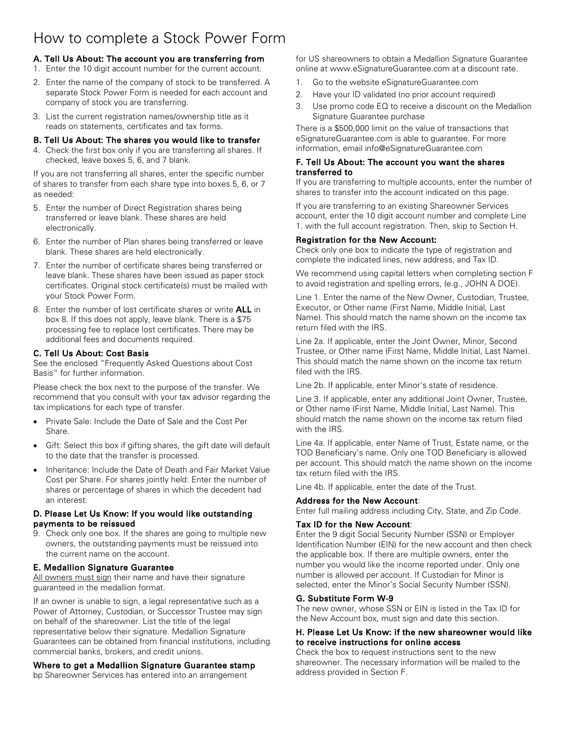# How to complete a Stock Power Form

# A. Tell Us About: The account you are transferring from

- 1. Enter the 10 digit account number for the current account.
- 2. Enter the name of the company of stock to be transferred. A separate Stock Power Form is needed for each account and company of stock you are transferring.
- 3. List the current registration names/ownership title as it reads on statements, certificates and tax forms.

#### B. Tell Us About: The shares you would like to transfer

4. Check the first box only if you are transferring all shares. If checked, leave boxes 5, 6, and 7 blank.

If you are not transferring all shares, enter the specific number of shares to transfer from each share type into boxes 5, 6, or 7 as needed:

- 5. Enter the number of Direct Registration shares being transferred or leave blank. These shares are held electronically.
- 6. Enter the number of Plan shares being transferred or leave blank. These shares are held electronically.
- 7. Enter the number of certificate shares being transferred or leave blank. These shares have been issued as paper stock certificates. Original stock certificate(s) must be mailed with your Stock Power Form.
- 8. Enter the number of lost certificate shares or write ALL in box 8. If this does not apply, leave blank. There is a \$75 processing fee to replace lost certificates. There may be additional fees and documents required.

# C. Tell Us About: Cost Basis

See the enclosed "Frequently Asked Questions about Cost Basis" for further information.

Please check the box next to the purpose of the transfer. We recommend that you consult with your tax advisor regarding the tax implications for each type of transfer.

- Private Sale: Include the Date of Sale and the Cost Per Share.
- Gift: Select this box if gifting shares, the gift date will default to the date that the transfer is processed.
- Inheritance: Include the Date of Death and Fair Market Value Cost per Share. For shares jointly held: Enter the number of shares or percentage of shares in which the decedent had an interest.

#### D. Please Let Us Know: If you would like outstanding payments to be reissued

9. Check only one box. If the shares are going to multiple new owners, the outstanding payments must be reissued into the current name on the account.

#### E. Medallion Signature Guarantee

All owners must sign their name and have their signature guaranteed in the medallion format.

If an owner is unable to sign, a legal representative such as a Power of Attorney, Custodian, or Successor Trustee may sign on behalf of the shareowner. List the title of the legal representative below their signature. Medallion Signature Guarantees can be obtained from financial institutions, including commercial banks, brokers, and credit unions.

#### Where to get a Medallion Signature Guarantee stamp

bp Shareowner Services has entered into an arrangement

for US shareowners to obtain a Medallion Signature Guarantee online at www.eSignatureGuarantee.com at a discount rate.

- 1. Go to the website eSignatureGuarantee.com
- 2. Have your ID validated (no prior account required)
- 3. Use promo code EQ to receive a discount on the Medallion Signature Guarantee purchase

There is a \$500,000 limit on the value of transactions that eSignatureGuarantee.com is able to guarantee. For more information, email info@eSignatureGuarantee.com

#### F. Tell Us About: The account you want the shares transferred to

If you are transferring to multiple accounts, enter the number of shares to transfer into the account indicated on this page.

If you are transferring to an existing Shareowner Services account, enter the 10 digit account number and complete Line 1. with the full account registration. Then, skip to Section H.

#### Registration for the New Account:

Check only one box to indicate the type of registration and complete the indicated lines, new address, and Tax ID.

We recommend using capital letters when completing section F to avoid registration and spelling errors, (e.g., JOHN A DOE).

Line 1. Enter the name of the New Owner, Custodian, Trustee, Executor, or Other name (First Name, Middle Initial, Last Name). This should match the name shown on the income tax return filed with the IRS.

Line 2a. If applicable, enter the Joint Owner, Minor, Second Trustee, or Other name (First Name, Middle Initial, Last Name). This should match the name shown on the income tax return filed with the IRS.

Line 2b. If applicable, enter Minor's state of residence.

Line 3. If applicable, enter any additional Joint Owner, Trustee, or Other name (First Name, Middle Initial, Last Name). This should match the name shown on the income tax return filed with the IRS.

Line 4a. If applicable, enter Name of Trust, Estate name, or the TOD Beneficiary's name. Only one TOD Beneficiary is allowed per account. This should match the name shown on the income tax return filed with the IRS.

Line 4b. If applicable, enter the date of the Trust.

#### Address for the New Account:

Enter full mailing address including City, State, and Zip Code.

#### Tax ID for the New Account:

Enter the 9 digit Social Security Number (SSN) or Employer Identification Number (EIN) for the new account and then check the applicable box. If there are multiple owners, enter the number you would like the income reported under. Only one number is allowed per account. If Custodian for Minor is selected, enter the Minor's Social Security Number (SSN).

#### G. Substitute Form W-9

The new owner, whose SSN or EIN is listed in the Tax ID for the New Account box, must sign and date this section.

#### H. Please Let Us Know: if the new shareowner would like to receive instructions for online access

Check the box to request instructions sent to the new shareowner. The necessary information will be mailed to the address provided in Section F.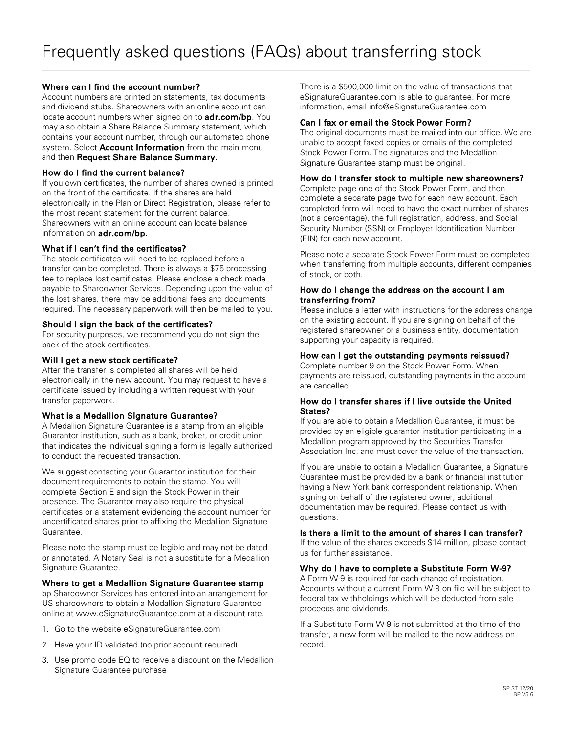\_\_\_\_\_\_\_\_\_\_\_\_\_\_\_\_\_\_\_\_\_\_\_\_\_\_\_\_\_\_\_\_\_\_\_\_\_\_\_\_\_\_\_\_\_\_\_\_\_\_\_\_\_\_\_\_\_\_\_\_\_\_\_\_\_\_\_\_\_\_\_\_\_\_\_\_\_\_\_\_\_\_\_\_\_\_\_\_\_\_\_\_\_\_\_\_\_\_\_\_\_\_\_\_\_\_\_\_\_\_\_\_\_\_\_\_\_

### Where can I find the account number?

Account numbers are printed on statements, tax documents and dividend stubs. Shareowners with an online account can locate account numbers when signed on to **adr.com/bp**. You may also obtain a Share Balance Summary statement, which contains your account number, through our automated phone system. Select **Account Information** from the main menu and then Request Share Balance Summary.

#### How do I find the current balance?

If you own certificates, the number of shares owned is printed on the front of the certificate. If the shares are held electronically in the Plan or Direct Registration, please refer to the most recent statement for the current balance. Shareowners with an online account can locate balance information on **adr.com/bp**.

#### What if I can't find the certificates?

The stock certificates will need to be replaced before a transfer can be completed. There is always a \$75 processing fee to replace lost certificates. Please enclose a check made payable to Shareowner Services. Depending upon the value of the lost shares, there may be additional fees and documents required. The necessary paperwork will then be mailed to you.

#### Should I sign the back of the certificates?

For security purposes, we recommend you do not sign the back of the stock certificates.

#### Will I get a new stock certificate?

After the transfer is completed all shares will be held electronically in the new account. You may request to have a certificate issued by including a written request with your transfer paperwork.

#### What is a Medallion Signature Guarantee?

A Medallion Signature Guarantee is a stamp from an eligible Guarantor institution, such as a bank, broker, or credit union that indicates the individual signing a form is legally authorized to conduct the requested transaction.

We suggest contacting your Guarantor institution for their document requirements to obtain the stamp. You will complete Section E and sign the Stock Power in their presence. The Guarantor may also require the physical certificates or a statement evidencing the account number for uncertificated shares prior to affixing the Medallion Signature Guarantee.

Please note the stamp must be legible and may not be dated or annotated. A Notary Seal is not a substitute for a Medallion Signature Guarantee.

#### Where to get a Medallion Signature Guarantee stamp

bp Shareowner Services has entered into an arrangement for US shareowners to obtain a Medallion Signature Guarantee online at www.eSignatureGuarantee.com at a discount rate.

- 1. Go to the website eSignatureGuarantee.com
- 2. Have your ID validated (no prior account required)
- 3. Use promo code EQ to receive a discount on the Medallion Signature Guarantee purchase

There is a \$500,000 limit on the value of transactions that eSignatureGuarantee.com is able to guarantee. For more information, email info@eSignatureGuarantee.com

#### Can I fax or email the Stock Power Form?

The original documents must be mailed into our office. We are unable to accept faxed copies or emails of the completed Stock Power Form. The signatures and the Medallion Signature Guarantee stamp must be original.

#### How do I transfer stock to multiple new shareowners?

Complete page one of the Stock Power Form, and then complete a separate page two for each new account. Each completed form will need to have the exact number of shares (not a percentage), the full registration, address, and Social Security Number (SSN) or Employer Identification Number (EIN) for each new account.

Please note a separate Stock Power Form must be completed when transferring from multiple accounts, different companies of stock, or both.

#### How do I change the address on the account I am transferring from?

Please include a letter with instructions for the address change on the existing account. If you are signing on behalf of the registered shareowner or a business entity, documentation supporting your capacity is required.

#### How can I get the outstanding payments reissued?

Complete number 9 on the Stock Power Form. When payments are reissued, outstanding payments in the account are cancelled.

#### How do I transfer shares if I live outside the United States?

If you are able to obtain a Medallion Guarantee, it must be provided by an eligible guarantor institution participating in a Medallion program approved by the Securities Transfer Association Inc. and must cover the value of the transaction.

If you are unable to obtain a Medallion Guarantee, a Signature Guarantee must be provided by a bank or financial institution having a New York bank correspondent relationship. When signing on behalf of the registered owner, additional documentation may be required. Please contact us with questions.

#### Is there a limit to the amount of shares I can transfer?

If the value of the shares exceeds \$14 million, please contact us for further assistance.

#### Why do I have to complete a Substitute Form W-9?

A Form W-9 is required for each change of registration. Accounts without a current Form W-9 on file will be subject to federal tax withholdings which will be deducted from sale proceeds and dividends.

If a Substitute Form W-9 is not submitted at the time of the transfer, a new form will be mailed to the new address on record.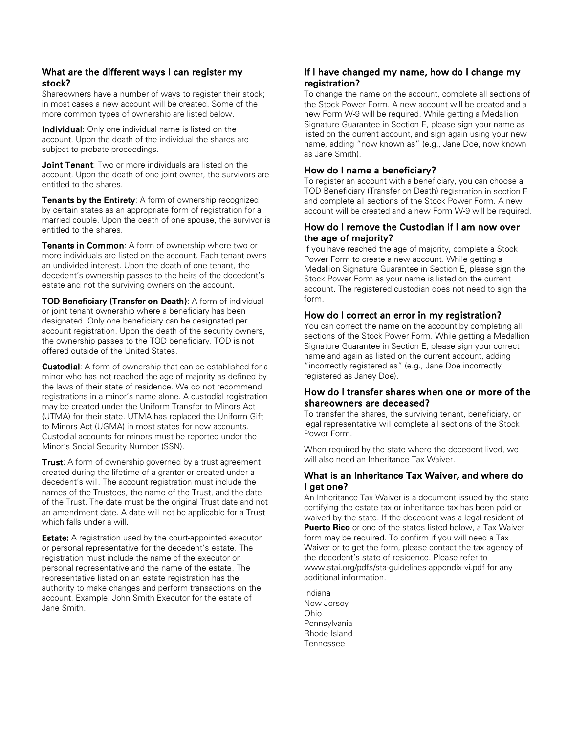# What are the different ways I can register my stock?

Shareowners have a number of ways to register their stock; in most cases a new account will be created. Some of the more common types of ownership are listed below.

**Individual:** Only one individual name is listed on the account. Upon the death of the individual the shares are subject to probate proceedings.

Joint Tenant: Two or more individuals are listed on the account. Upon the death of one joint owner, the survivors are entitled to the shares.

**Tenants by the Entirety:** A form of ownership recognized by certain states as an appropriate form of registration for a married couple. Upon the death of one spouse, the survivor is entitled to the shares.

Tenants in Common: A form of ownership where two or more individuals are listed on the account. Each tenant owns an undivided interest. Upon the death of one tenant, the decedent's ownership passes to the heirs of the decedent's estate and not the surviving owners on the account.

TOD Beneficiary (Transfer on Death): A form of individual or joint tenant ownership where a beneficiary has been designated. Only one beneficiary can be designated per account registration. Upon the death of the security owners, the ownership passes to the TOD beneficiary. TOD is not offered outside of the United States.

**Custodial:** A form of ownership that can be established for a minor who has not reached the age of majority as defined by the laws of their state of residence. We do not recommend registrations in a minor's name alone. A custodial registration may be created under the Uniform Transfer to Minors Act (UTMA) for their state. UTMA has replaced the Uniform Gift to Minors Act (UGMA) in most states for new accounts. Custodial accounts for minors must be reported under the Minor's Social Security Number (SSN).

**Trust:** A form of ownership governed by a trust agreement created during the lifetime of a grantor or created under a decedent's will. The account registration must include the names of the Trustees, the name of the Trust, and the date of the Trust. The date must be the original Trust date and not an amendment date. A date will not be applicable for a Trust which falls under a will.

**Estate:** A registration used by the court-appointed executor or personal representative for the decedent's estate. The registration must include the name of the executor or personal representative and the name of the estate. The representative listed on an estate registration has the authority to make changes and perform transactions on the account. Example: John Smith Executor for the estate of Jane Smith.

# If I have changed my name, how do I change my registration?

To change the name on the account, complete all sections of the Stock Power Form. A new account will be created and a new Form W-9 will be required. While getting a Medallion Signature Guarantee in Section E, please sign your name as listed on the current account, and sign again using your new name, adding "now known as" (e.g., Jane Doe, now known as Jane Smith).

# How do I name a beneficiary?

To register an account with a beneficiary, you can choose a TOD Beneficiary (Transfer on Death) registration in section F and complete all sections of the Stock Power Form. A new account will be created and a new Form W-9 will be required.

# How do I remove the Custodian if I am now over the age of majority?

If you have reached the age of majority, complete a Stock Power Form to create a new account. While getting a Medallion Signature Guarantee in Section E, please sign the Stock Power Form as your name is listed on the current account. The registered custodian does not need to sign the form.

# How do I correct an error in my registration?

You can correct the name on the account by completing all sections of the Stock Power Form. While getting a Medallion Signature Guarantee in Section E, please sign your correct name and again as listed on the current account, adding "incorrectly registered as" (e.g., Jane Doe incorrectly registered as Janey Doe).

# How do I transfer shares when one or more of the shareowners are deceased?

To transfer the shares, the surviving tenant, beneficiary, or legal representative will complete all sections of the Stock Power Form.

When required by the state where the decedent lived, we will also need an Inheritance Tax Waiver.

# What is an Inheritance Tax Waiver, and where do I get one?

An Inheritance Tax Waiver is a document issued by the state certifying the estate tax or inheritance tax has been paid or waived by the state. If the decedent was a legal resident of **Puerto Rico** or one of the states listed below, a Tax Waiver form may be required. To confirm if you will need a Tax Waiver or to get the form, please contact the tax agency of the decedent's state of residence. Please refer to www.stai.org/pdfs/sta-guidelines-appendix-vi.pdf for any additional information.

Indiana New Jersey Ohio Pennsylvania Rhode Island Tennessee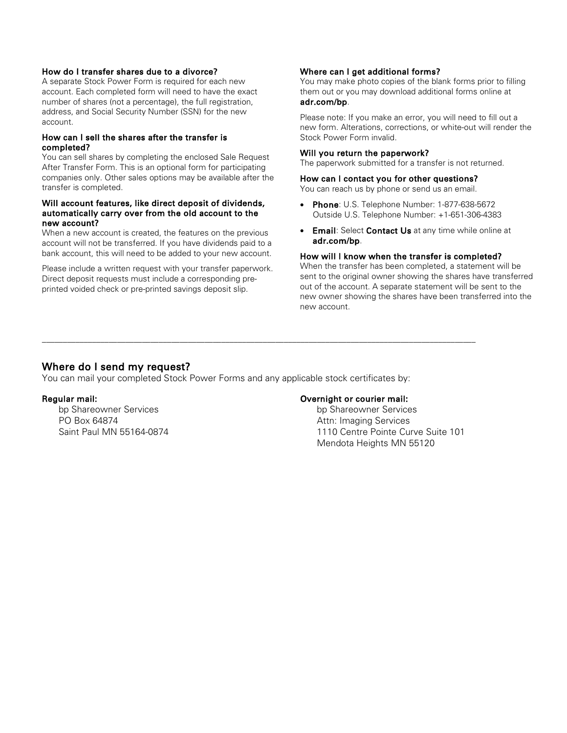#### How do I transfer shares due to a divorce?

A separate Stock Power Form is required for each new account. Each completed form will need to have the exact number of shares (not a percentage), the full registration, address, and Social Security Number (SSN) for the new account.

#### How can I sell the shares after the transfer is completed?

You can sell shares by completing the enclosed Sale Request After Transfer Form. This is an optional form for participating companies only. Other sales options may be available after the transfer is completed.

#### Will account features, like direct deposit of dividends, automatically carry over from the old account to the new account?

When a new account is created, the features on the previous account will not be transferred. If you have dividends paid to a bank account, this will need to be added to your new account.

Please include a written request with your transfer paperwork. Direct deposit requests must include a corresponding preprinted voided check or pre-printed savings deposit slip.

#### Where can I get additional forms?

You may make photo copies of the blank forms prior to filling them out or you may download additional forms online at adr.com/bp.

Please note: If you make an error, you will need to fill out a new form. Alterations, corrections, or white-out will render the Stock Power Form invalid.

#### Will you return the paperwork?

The paperwork submitted for a transfer is not returned.

#### How can I contact you for other questions?

You can reach us by phone or send us an email.

- Phone: U.S. Telephone Number: 1-877-638-5672 Outside U.S. Telephone Number: +1-651-306-4383
- Email: Select Contact Us at any time while online at adr.com/bp.

#### How will I know when the transfer is completed?

When the transfer has been completed, a statement will be sent to the original owner showing the shares have transferred out of the account. A separate statement will be sent to the new owner showing the shares have been transferred into the new account.

### Where do I send my request?

You can mail your completed Stock Power Forms and any applicable stock certificates by:

\_\_\_\_\_\_\_\_\_\_\_\_\_\_\_\_\_\_\_\_\_\_\_\_\_\_\_\_\_\_\_\_\_\_\_\_\_\_\_\_\_\_\_\_\_\_\_\_\_\_\_\_\_\_\_\_\_\_\_\_\_\_\_\_\_\_\_\_\_\_\_\_\_\_\_\_\_\_\_\_\_\_\_\_\_\_\_\_\_\_\_\_\_\_\_\_\_\_\_\_\_\_\_\_

#### Regular mail:

bp Shareowner Services PO Box 64874 Saint Paul MN 55164-0874

#### Overnight or courier mail:

bp Shareowner Services Attn: Imaging Services 1110 Centre Pointe Curve Suite 101 Mendota Heights MN 55120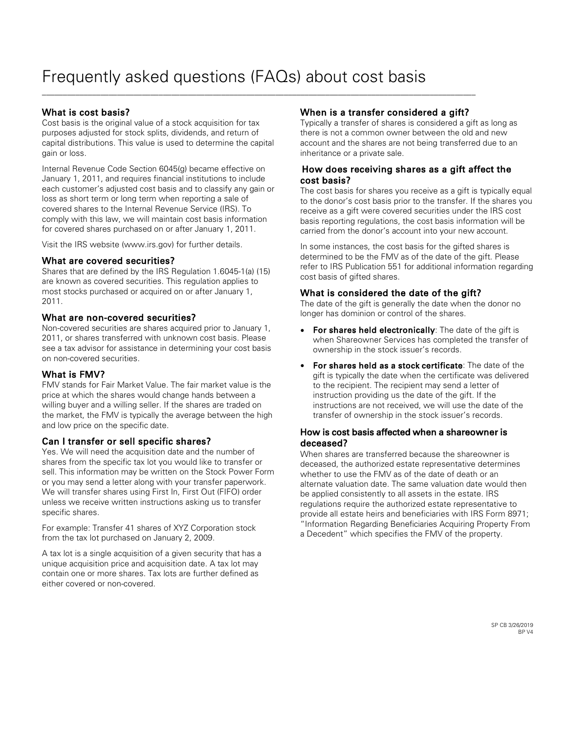\_\_\_\_\_\_\_\_\_\_\_\_\_\_\_\_\_\_\_\_\_\_\_\_\_\_\_\_\_\_\_\_\_\_\_\_\_\_\_\_\_\_\_\_\_\_\_\_\_\_\_\_\_\_\_\_\_\_\_\_\_\_\_\_\_\_\_\_\_\_\_\_\_\_\_\_\_\_\_\_\_\_\_\_\_\_\_\_\_\_\_\_\_\_\_\_\_\_\_\_\_\_\_\_

# What is cost basis?

Cost basis is the original value of a stock acquisition for tax purposes adjusted for stock splits, dividends, and return of capital distributions. This value is used to determine the capital gain or loss.

Internal Revenue Code Section 6045(g) became effective on January 1, 2011, and requires financial institutions to include each customer's adjusted cost basis and to classify any gain or loss as short term or long term when reporting a sale of covered shares to the Internal Revenue Service (IRS). To comply with this law, we will maintain cost basis information for covered shares purchased on or after January 1, 2011.

Visit the IRS website (www.irs.gov) for further details.

# What are covered securities?

Shares that are defined by the IRS Regulation 1.6045-1(a) (15) are known as covered securities. This regulation applies to most stocks purchased or acquired on or after January 1, 2011.

# What are non-covered securities?

Non-covered securities are shares acquired prior to January 1, 2011, or shares transferred with unknown cost basis. Please see a tax advisor for assistance in determining your cost basis on non-covered securities.

# What is FMV?

FMV stands for Fair Market Value. The fair market value is the price at which the shares would change hands between a willing buyer and a willing seller. If the shares are traded on the market, the FMV is typically the average between the high and low price on the specific date.

# Can I transfer or sell specific shares?

Yes. We will need the acquisition date and the number of shares from the specific tax lot you would like to transfer or sell. This information may be written on the Stock Power Form or you may send a letter along with your transfer paperwork. We will transfer shares using First In, First Out (FIFO) order unless we receive written instructions asking us to transfer specific shares.

For example: Transfer 41 shares of XYZ Corporation stock from the tax lot purchased on January 2, 2009.

A tax lot is a single acquisition of a given security that has a unique acquisition price and acquisition date. A tax lot may contain one or more shares. Tax lots are further defined as either covered or non-covered.

# When is a transfer considered a gift?

Typically a transfer of shares is considered a gift as long as there is not a common owner between the old and new account and the shares are not being transferred due to an inheritance or a private sale.

# How does receiving shares as a gift affect the cost basis?

The cost basis for shares you receive as a gift is typically equal to the donor's cost basis prior to the transfer. If the shares you receive as a gift were covered securities under the IRS cost basis reporting regulations, the cost basis information will be carried from the donor's account into your new account.

In some instances, the cost basis for the gifted shares is determined to be the FMV as of the date of the gift. Please refer to IRS Publication 551 for additional information regarding cost basis of gifted shares.

# What is considered the date of the gift?

The date of the gift is generally the date when the donor no longer has dominion or control of the shares.

- For shares held electronically: The date of the gift is when Shareowner Services has completed the transfer of ownership in the stock issuer's records.
- For shares held as a stock certificate: The date of the gift is typically the date when the certificate was delivered to the recipient. The recipient may send a letter of instruction providing us the date of the gift. If the instructions are not received, we will use the date of the transfer of ownership in the stock issuer's records.

# How is cost basis affected when a shareowner is deceased?

When shares are transferred because the shareowner is deceased, the authorized estate representative determines whether to use the FMV as of the date of death or an alternate valuation date. The same valuation date would then be applied consistently to all assets in the estate. IRS regulations require the authorized estate representative to provide all estate heirs and beneficiaries with IRS Form 8971;

"Information Regarding Beneficiaries Acquiring Property From a Decedent" which specifies the FMV of the property.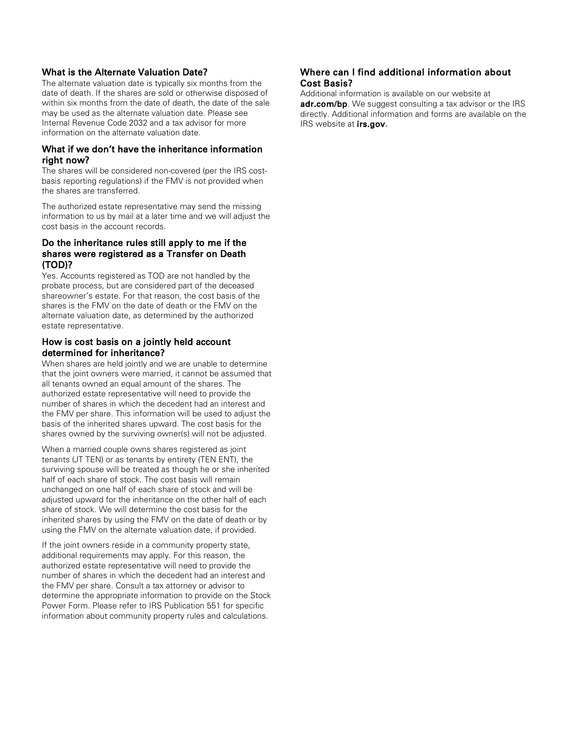### What is the Alternate Valuation Date?

The alternate valuation date is typically six months from the date of death. If the shares are sold or otherwise disposed of within six months from the date of death, the date of the sale may be used as the alternate valuation date. Please see Internal Revenue Code 2032 and a tax advisor for more information on the alternate valuation date.

#### What if we don't have the inheritance information right now?

The shares will be considered non-covered (per the IRS costbasis reporting regulations) if the FMV is not provided when the shares are transferred.

The authorized estate representative may send the missing information to us by mail at a later time and we will adjust the cost basis in the account records.

### Do the inheritance rules still apply to me if the shares were registered as a Transfer on Death (TOD)?

Yes. Accounts registered as TOD are not handled by the probate process, but are considered part of the deceased shareowner's estate. For that reason, the cost basis of the shares is the FMV on the date of death or the FMV on the alternate valuation date, as determined by the authorized estate representative.

# How is cost basis on a jointly held account determined for inheritance?

When shares are held jointly and we are unable to determine that the joint owners were married, it cannot be assumed that all tenants owned an equal amount of the shares. The authorized estate representative will need to provide the number of shares in which the decedent had an interest and the FMV per share. This information will be used to adjust the basis of the inherited shares upward. The cost basis for the shares owned by the surviving owner(s) will not be adjusted.

When a married couple owns shares registered as joint tenants (JT TEN) or as tenants by entirety (TEN ENT), the surviving spouse will be treated as though he or she inherited half of each share of stock. The cost basis will remain unchanged on one half of each share of stock and will be adjusted upward for the inheritance on the other half of each share of stock. We will determine the cost basis for the inherited shares by using the FMV on the date of death or by using the FMV on the alternate valuation date, if provided.

If the joint owners reside in a community property state, additional requirements may apply. For this reason, the authorized estate representative will need to provide the number of shares in which the decedent had an interest and the FMV per share. Consult a tax attorney or advisor to determine the appropriate information to provide on the Stock Power Form. Please refer to IRS Publication 551 for specific information about community property rules and calculations.

# Where can I find additional information about Cost Basis?

Additional information is available on our website at adr.com/bp. We suggest consulting a tax advisor or the IRS directly. Additional information and forms are available on the IRS website at **irs.gov.**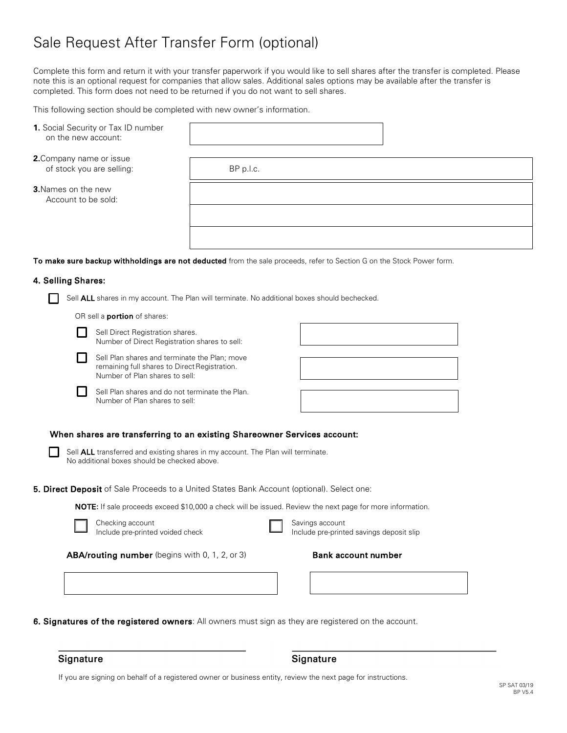# Sale Request After Transfer Form (optional)

Complete this form and return it with your transfer paperwork if you would like to sell shares after the transfer is completed. Please note this is an optional request for companies that allow sales. Additional sales options may be available after the transfer is completed. This form does not need to be returned if you do not want to sell shares.

This following section should be completed with new owner's information.

- **1.** Social Security or Tax ID number on the new account:
- **2.**Company name or issue of stock you are selling: BP p.l.c.

**3.**Names on the new Account to be sold:

To make sure backup withholdings are not deducted from the sale proceeds, refer to Section G on the Stock Power form.

#### 4. Selling Shares:

Sell **ALL** shares in my account. The Plan will terminate. No additional boxes should bechecked.

OR sell a **portion** of shares:

|  | ۰. | I |
|--|----|---|

Sell Direct Registration shares. Number of Direct Registration shares to sell:

Sell Plan shares and terminate the Plan; move remaining full shares to Direct Registration. Number of Plan shares to sell:





# When shares are transferring to an existing Shareowner Services account:

Sell **ALL** transferred and existing shares in my account. The Plan will terminate. No additional boxes should be checked above.

5. Direct Deposit of Sale Proceeds to a United States Bank Account (optional). Select one:

NOTE**:** If sale proceeds exceed \$10,000 a check will be issued. Review the next page for more information.

| Checking account                 |
|----------------------------------|
| Include pre-printed voided check |

Savings account Include pre-printed savings deposit slip

ABA/routing number (begins with 0, 1, 2, or 3) Bank account number

6. Signatures of the registered owners: All owners must sign as they are registered on the account.

Signature

#### Signature

If you are signing on behalf of a registered owner or business entity, review the next page for instructions.